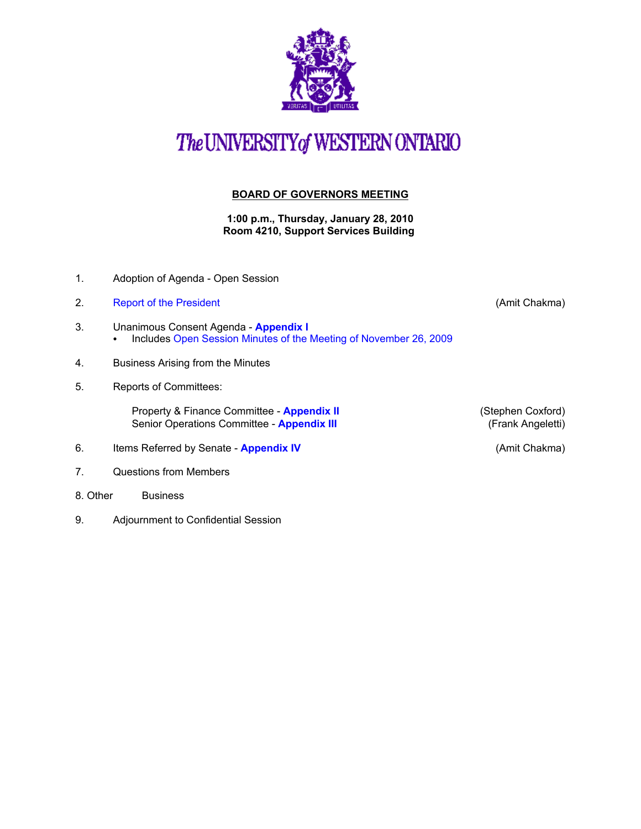

## The UNIVERSITY of WESTERN ONTARIO

## **BOARD OF GOVERNORS MEETING**

**1:00 p.m., Thursday, January 28, 2010 Room 4210, Support Services Building** 

- 1. Adoption of Agenda Open Session
- 2. Report of the President **Container and Container Container and Container and Container and Container and Container and Container and Container and Container and Container and Container and Container and Container and Co**
- 3. Unanimous Consent Agenda **[Appendix I](http://www.uwo.ca/univsec/board/minutes/2010/r1001consent.pdf)**  • Include[s Open Session Minutes of the Meeting of November 26, 2009](http://www.uwo.ca/univsec/board/minutes/2009/m0911bg.pdf)
- 4. Business Arising from the Minutes
- 5. Reports of Committees:

Property & Finance Committee - **[Appendix II](http://www.uwo.ca/univsec/board/minutes/2010/r1001pf.pdf)** (Stephen Coxford)<br>
Senior Operations Committee - **Appendix III** (Frank Angeletti) Senior Operations Committee - **[Appendix III](http://www.uwo.ca/univsec/board/minutes/2010/r1001srops.pdf)** 

- 6. Items Referred by Senate **[Appendix IV](http://www.uwo.ca/univsec/board/minutes/2010/r1001sen.pdf)** (Amit Chakma)
- 7. Questions from Members
- 8. Other Business
- 9. Adjournment to Confidential Session